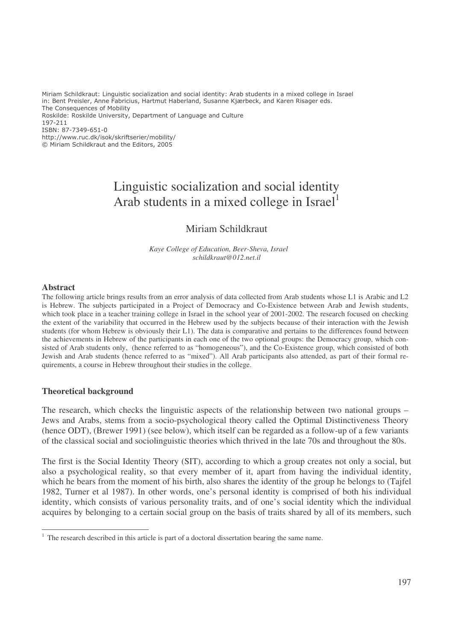Miriam Schildkraut: Linguistic socialization and social identity: Arab students in a mixed college in Israel in: Bent Preisler, Anne Fabricius, Hartmut Haberland, Susanne Kjærbeck, and Karen Risager eds. The Consequences of Mobility Roskilde: Roskilde University, Department of Language and Culture 197-211 ISBN: 87-7349-651-0 http://www.ruc.dk/isok/skriftserier/mobility/

© Miriam Schildkraut and the Editors, 2005

# Linguistic socialization and social identity Arab students in a mixed college in Israel<sup>1</sup>

# Miriam Schildkraut

*Kaye College of Education, Beer-Sheva, Israel schildkraut@012.net.il*

#### **Abstract**

The following article brings results from an error analysis of data collected from Arab students whose L1 is Arabic and L2 is Hebrew. The subjects participated in a Project of Democracy and Co-Existence between Arab and Jewish students, which took place in a teacher training college in Israel in the school year of 2001-2002. The research focused on checking the extent of the variability that occurred in the Hebrew used by the subjects because of their interaction with the Jewish students (for whom Hebrew is obviously their L1). The data is comparative and pertains to the differences found between the achievements in Hebrew of the participants in each one of the two optional groups: the Democracy group, which consisted of Arab students only, (hence referred to as "homogeneous"), and the Co-Existence group, which consisted of both Jewish and Arab students (hence referred to as "mixed"). All Arab participants also attended, as part of their formal requirements, a course in Hebrew throughout their studies in the college.

#### **Theoretical background**

The research, which checks the linguistic aspects of the relationship between two national groups – Jews and Arabs, stems from a socio-psychological theory called the Optimal Distinctiveness Theory (hence ODT), (Brewer 1991) (see below), which itself can be regarded as a follow-up of a few variants of the classical social and sociolinguistic theories which thrived in the late 70s and throughout the 80s.

The first is the Social Identity Theory (SIT), according to which a group creates not only a social, but also a psychological reality, so that every member of it, apart from having the individual identity, which he bears from the moment of his birth, also shares the identity of the group he belongs to (Tajfel 1982, Turner et al 1987). In other words, one's personal identity is comprised of both his individual identity, which consists of various personality traits, and of one's social identity which the individual acquires by belonging to a certain social group on the basis of traits shared by all of its members, such

<sup>&</sup>lt;sup>1</sup> The research described in this article is part of a doctoral dissertation bearing the same name.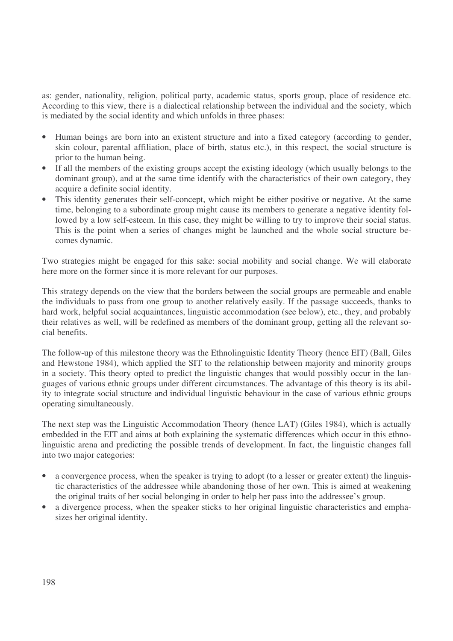as: gender, nationality, religion, political party, academic status, sports group, place of residence etc. According to this view, there is a dialectical relationship between the individual and the society, which is mediated by the social identity and which unfolds in three phases:

- Human beings are born into an existent structure and into a fixed category (according to gender, skin colour, parental affiliation, place of birth, status etc.), in this respect, the social structure is prior to the human being.
- If all the members of the existing groups accept the existing ideology (which usually belongs to the dominant group), and at the same time identify with the characteristics of their own category, they acquire a definite social identity.
- This identity generates their self-concept, which might be either positive or negative. At the same time, belonging to a subordinate group might cause its members to generate a negative identity followed by a low self-esteem. In this case, they might be willing to try to improve their social status. This is the point when a series of changes might be launched and the whole social structure becomes dynamic.

Two strategies might be engaged for this sake: social mobility and social change. We will elaborate here more on the former since it is more relevant for our purposes.

This strategy depends on the view that the borders between the social groups are permeable and enable the individuals to pass from one group to another relatively easily. If the passage succeeds, thanks to hard work, helpful social acquaintances, linguistic accommodation (see below), etc., they, and probably their relatives as well, will be redefined as members of the dominant group, getting all the relevant social benefits.

The follow-up of this milestone theory was the Ethnolinguistic Identity Theory (hence EIT) (Ball, Giles and Hewstone 1984), which applied the SIT to the relationship between majority and minority groups in a society. This theory opted to predict the linguistic changes that would possibly occur in the languages of various ethnic groups under different circumstances. The advantage of this theory is its ability to integrate social structure and individual linguistic behaviour in the case of various ethnic groups operating simultaneously.

The next step was the Linguistic Accommodation Theory (hence LAT) (Giles 1984), which is actually embedded in the EIT and aims at both explaining the systematic differences which occur in this ethnolinguistic arena and predicting the possible trends of development. In fact, the linguistic changes fall into two major categories:

- a convergence process, when the speaker is trying to adopt (to a lesser or greater extent) the linguistic characteristics of the addressee while abandoning those of her own. This is aimed at weakening the original traits of her social belonging in order to help her pass into the addressee's group.
- a divergence process, when the speaker sticks to her original linguistic characteristics and emphasizes her original identity.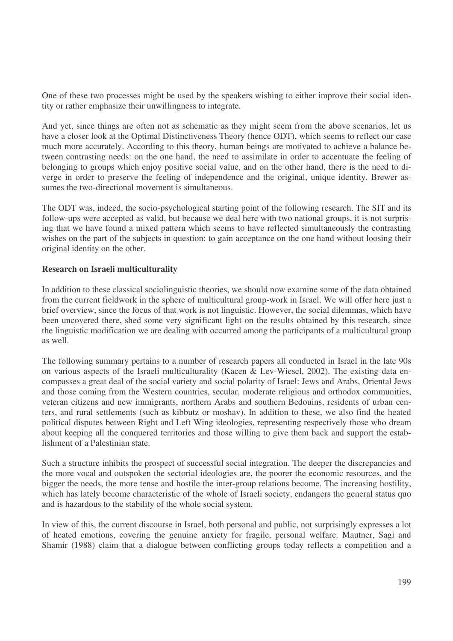One of these two processes might be used by the speakers wishing to either improve their social identity or rather emphasize their unwillingness to integrate.

And yet, since things are often not as schematic as they might seem from the above scenarios, let us have a closer look at the Optimal Distinctiveness Theory (hence ODT), which seems to reflect our case much more accurately. According to this theory, human beings are motivated to achieve a balance between contrasting needs: on the one hand, the need to assimilate in order to accentuate the feeling of belonging to groups which enjoy positive social value, and on the other hand, there is the need to diverge in order to preserve the feeling of independence and the original, unique identity. Brewer assumes the two-directional movement is simultaneous.

The ODT was, indeed, the socio-psychological starting point of the following research. The SIT and its follow-ups were accepted as valid, but because we deal here with two national groups, it is not surprising that we have found a mixed pattern which seems to have reflected simultaneously the contrasting wishes on the part of the subjects in question: to gain acceptance on the one hand without loosing their original identity on the other.

#### **Research on Israeli multiculturality**

In addition to these classical sociolinguistic theories, we should now examine some of the data obtained from the current fieldwork in the sphere of multicultural group-work in Israel. We will offer here just a brief overview, since the focus of that work is not linguistic. However, the social dilemmas, which have been uncovered there, shed some very significant light on the results obtained by this research, since the linguistic modification we are dealing with occurred among the participants of a multicultural group as well.

The following summary pertains to a number of research papers all conducted in Israel in the late 90s on various aspects of the Israeli multiculturality (Kacen & Lev-Wiesel, 2002). The existing data encompasses a great deal of the social variety and social polarity of Israel: Jews and Arabs, Oriental Jews and those coming from the Western countries, secular, moderate religious and orthodox communities, veteran citizens and new immigrants, northern Arabs and southern Bedouins, residents of urban centers, and rural settlements (such as kibbutz or moshav). In addition to these, we also find the heated political disputes between Right and Left Wing ideologies, representing respectively those who dream about keeping all the conquered territories and those willing to give them back and support the establishment of a Palestinian state.

Such a structure inhibits the prospect of successful social integration. The deeper the discrepancies and the more vocal and outspoken the sectorial ideologies are, the poorer the economic resources, and the bigger the needs, the more tense and hostile the inter-group relations become. The increasing hostility, which has lately become characteristic of the whole of Israeli society, endangers the general status quo and is hazardous to the stability of the whole social system.

In view of this, the current discourse in Israel, both personal and public, not surprisingly expresses a lot of heated emotions, covering the genuine anxiety for fragile, personal welfare. Mautner, Sagi and Shamir (1988) claim that a dialogue between conflicting groups today reflects a competition and a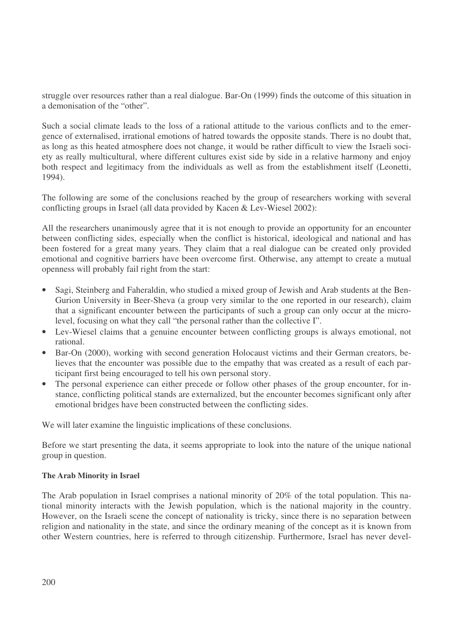struggle over resources rather than a real dialogue. Bar-On (1999) finds the outcome of this situation in a demonisation of the "other".

Such a social climate leads to the loss of a rational attitude to the various conflicts and to the emergence of externalised, irrational emotions of hatred towards the opposite stands. There is no doubt that, as long as this heated atmosphere does not change, it would be rather difficult to view the Israeli society as really multicultural, where different cultures exist side by side in a relative harmony and enjoy both respect and legitimacy from the individuals as well as from the establishment itself (Leonetti, 1994).

The following are some of the conclusions reached by the group of researchers working with several conflicting groups in Israel (all data provided by Kacen & Lev-Wiesel 2002):

All the researchers unanimously agree that it is not enough to provide an opportunity for an encounter between conflicting sides, especially when the conflict is historical, ideological and national and has been fostered for a great many years. They claim that a real dialogue can be created only provided emotional and cognitive barriers have been overcome first. Otherwise, any attempt to create a mutual openness will probably fail right from the start:

- Sagi, Steinberg and Faheraldin, who studied a mixed group of Jewish and Arab students at the Ben-Gurion University in Beer-Sheva (a group very similar to the one reported in our research), claim that a significant encounter between the participants of such a group can only occur at the microlevel, focusing on what they call "the personal rather than the collective I".
- Lev-Wiesel claims that a genuine encounter between conflicting groups is always emotional, not rational.
- Bar-On (2000), working with second generation Holocaust victims and their German creators, believes that the encounter was possible due to the empathy that was created as a result of each participant first being encouraged to tell his own personal story.
- The personal experience can either precede or follow other phases of the group encounter, for instance, conflicting political stands are externalized, but the encounter becomes significant only after emotional bridges have been constructed between the conflicting sides.

We will later examine the linguistic implications of these conclusions.

Before we start presenting the data, it seems appropriate to look into the nature of the unique national group in question.

#### **The Arab Minority in Israel**

The Arab population in Israel comprises a national minority of 20% of the total population. This national minority interacts with the Jewish population, which is the national majority in the country. However, on the Israeli scene the concept of nationality is tricky, since there is no separation between religion and nationality in the state, and since the ordinary meaning of the concept as it is known from other Western countries, here is referred to through citizenship. Furthermore, Israel has never devel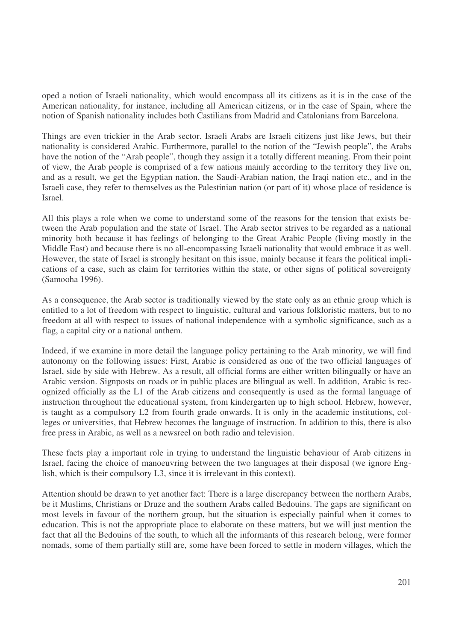oped a notion of Israeli nationality, which would encompass all its citizens as it is in the case of the American nationality, for instance, including all American citizens, or in the case of Spain, where the notion of Spanish nationality includes both Castilians from Madrid and Catalonians from Barcelona.

Things are even trickier in the Arab sector. Israeli Arabs are Israeli citizens just like Jews, but their nationality is considered Arabic. Furthermore, parallel to the notion of the "Jewish people", the Arabs have the notion of the "Arab people", though they assign it a totally different meaning. From their point of view, the Arab people is comprised of a few nations mainly according to the territory they live on, and as a result, we get the Egyptian nation, the Saudi-Arabian nation, the Iraqi nation etc., and in the Israeli case, they refer to themselves as the Palestinian nation (or part of it) whose place of residence is Israel.

All this plays a role when we come to understand some of the reasons for the tension that exists between the Arab population and the state of Israel. The Arab sector strives to be regarded as a national minority both because it has feelings of belonging to the Great Arabic People (living mostly in the Middle East) and because there is no all-encompassing Israeli nationality that would embrace it as well. However, the state of Israel is strongly hesitant on this issue, mainly because it fears the political implications of a case, such as claim for territories within the state, or other signs of political sovereignty (Samooha 1996).

As a consequence, the Arab sector is traditionally viewed by the state only as an ethnic group which is entitled to a lot of freedom with respect to linguistic, cultural and various folkloristic matters, but to no freedom at all with respect to issues of national independence with a symbolic significance, such as a flag, a capital city or a national anthem.

Indeed, if we examine in more detail the language policy pertaining to the Arab minority, we will find autonomy on the following issues: First, Arabic is considered as one of the two official languages of Israel, side by side with Hebrew. As a result, all official forms are either written bilingually or have an Arabic version. Signposts on roads or in public places are bilingual as well. In addition, Arabic is recognized officially as the L1 of the Arab citizens and consequently is used as the formal language of instruction throughout the educational system, from kindergarten up to high school. Hebrew, however, is taught as a compulsory L2 from fourth grade onwards. It is only in the academic institutions, colleges or universities, that Hebrew becomes the language of instruction. In addition to this, there is also free press in Arabic, as well as a newsreel on both radio and television.

These facts play a important role in trying to understand the linguistic behaviour of Arab citizens in Israel, facing the choice of manoeuvring between the two languages at their disposal (we ignore English, which is their compulsory L3, since it is irrelevant in this context).

Attention should be drawn to yet another fact: There is a large discrepancy between the northern Arabs, be it Muslims, Christians or Druze and the southern Arabs called Bedouins. The gaps are significant on most levels in favour of the northern group, but the situation is especially painful when it comes to education. This is not the appropriate place to elaborate on these matters, but we will just mention the fact that all the Bedouins of the south, to which all the informants of this research belong, were former nomads, some of them partially still are, some have been forced to settle in modern villages, which the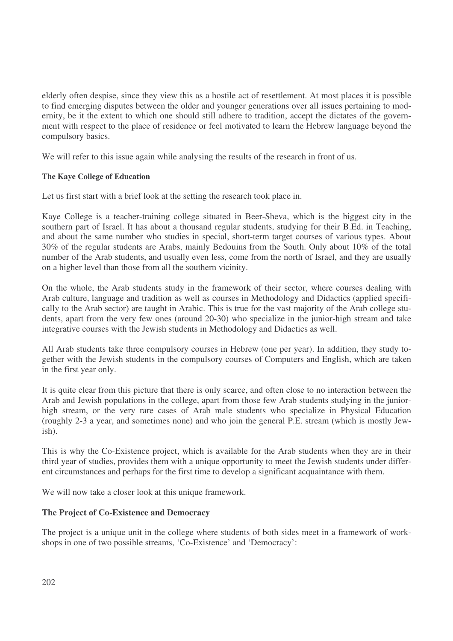elderly often despise, since they view this as a hostile act of resettlement. At most places it is possible to find emerging disputes between the older and younger generations over all issues pertaining to modernity, be it the extent to which one should still adhere to tradition, accept the dictates of the government with respect to the place of residence or feel motivated to learn the Hebrew language beyond the compulsory basics.

We will refer to this issue again while analysing the results of the research in front of us.

# **The Kaye College of Education**

Let us first start with a brief look at the setting the research took place in.

Kaye College is a teacher-training college situated in Beer-Sheva, which is the biggest city in the southern part of Israel. It has about a thousand regular students, studying for their B.Ed. in Teaching, and about the same number who studies in special, short-term target courses of various types. About 30% of the regular students are Arabs, mainly Bedouins from the South. Only about 10% of the total number of the Arab students, and usually even less, come from the north of Israel, and they are usually on a higher level than those from all the southern vicinity.

On the whole, the Arab students study in the framework of their sector, where courses dealing with Arab culture, language and tradition as well as courses in Methodology and Didactics (applied specifically to the Arab sector) are taught in Arabic. This is true for the vast majority of the Arab college students, apart from the very few ones (around 20-30) who specialize in the junior-high stream and take integrative courses with the Jewish students in Methodology and Didactics as well.

All Arab students take three compulsory courses in Hebrew (one per year). In addition, they study together with the Jewish students in the compulsory courses of Computers and English, which are taken in the first year only.

It is quite clear from this picture that there is only scarce, and often close to no interaction between the Arab and Jewish populations in the college, apart from those few Arab students studying in the juniorhigh stream, or the very rare cases of Arab male students who specialize in Physical Education (roughly 2-3 a year, and sometimes none) and who join the general P.E. stream (which is mostly Jewish).

This is why the Co-Existence project, which is available for the Arab students when they are in their third year of studies, provides them with a unique opportunity to meet the Jewish students under different circumstances and perhaps for the first time to develop a significant acquaintance with them.

We will now take a closer look at this unique framework.

# **The Project of Co-Existence and Democracy**

The project is a unique unit in the college where students of both sides meet in a framework of workshops in one of two possible streams, 'Co-Existence' and 'Democracy':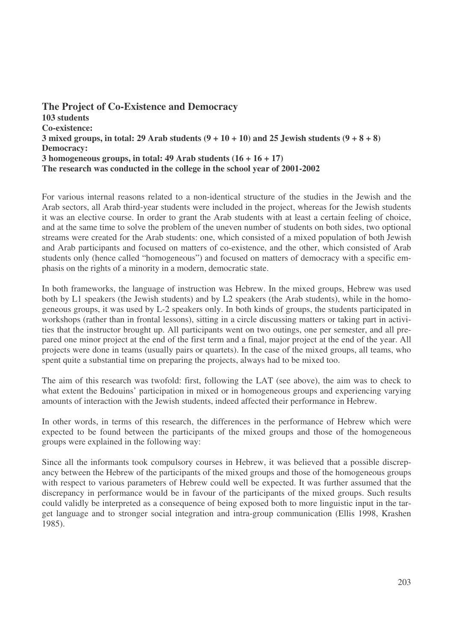**The Project of Co-Existence and Democracy 103 students Co-existence:** 3 mixed groups, in total: 29 Arab students  $(9 + 10 + 10)$  and 25 Jewish students  $(9 + 8 + 8)$ **Democracy: 3 homogeneous groups, in total: 49 Arab students (16 + 16 + 17) The research was conducted in the college in the school year of 2001-2002**

For various internal reasons related to a non-identical structure of the studies in the Jewish and the Arab sectors, all Arab third-year students were included in the project, whereas for the Jewish students it was an elective course. In order to grant the Arab students with at least a certain feeling of choice, and at the same time to solve the problem of the uneven number of students on both sides, two optional streams were created for the Arab students: one, which consisted of a mixed population of both Jewish and Arab participants and focused on matters of co-existence, and the other, which consisted of Arab students only (hence called "homogeneous") and focused on matters of democracy with a specific emphasis on the rights of a minority in a modern, democratic state.

In both frameworks, the language of instruction was Hebrew. In the mixed groups, Hebrew was used both by L1 speakers (the Jewish students) and by L2 speakers (the Arab students), while in the homogeneous groups, it was used by L-2 speakers only. In both kinds of groups, the students participated in workshops (rather than in frontal lessons), sitting in a circle discussing matters or taking part in activities that the instructor brought up. All participants went on two outings, one per semester, and all prepared one minor project at the end of the first term and a final, major project at the end of the year. All projects were done in teams (usually pairs or quartets). In the case of the mixed groups, all teams, who spent quite a substantial time on preparing the projects, always had to be mixed too.

The aim of this research was twofold: first, following the LAT (see above), the aim was to check to what extent the Bedouins' participation in mixed or in homogeneous groups and experiencing varying amounts of interaction with the Jewish students, indeed affected their performance in Hebrew.

In other words, in terms of this research, the differences in the performance of Hebrew which were expected to be found between the participants of the mixed groups and those of the homogeneous groups were explained in the following way:

Since all the informants took compulsory courses in Hebrew, it was believed that a possible discrepancy between the Hebrew of the participants of the mixed groups and those of the homogeneous groups with respect to various parameters of Hebrew could well be expected. It was further assumed that the discrepancy in performance would be in favour of the participants of the mixed groups. Such results could validly be interpreted as a consequence of being exposed both to more linguistic input in the target language and to stronger social integration and intra-group communication (Ellis 1998, Krashen 1985).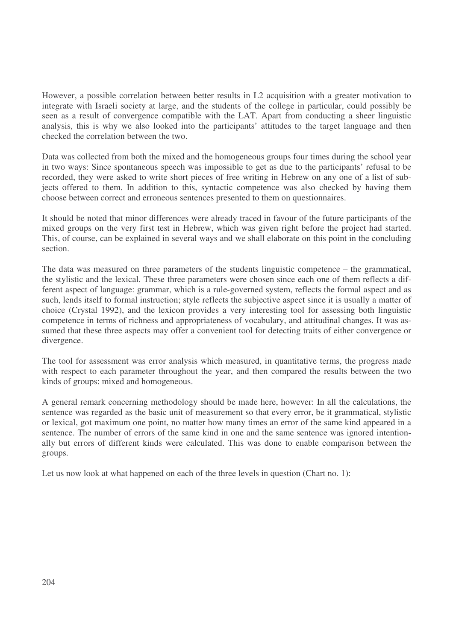However, a possible correlation between better results in L2 acquisition with a greater motivation to integrate with Israeli society at large, and the students of the college in particular, could possibly be seen as a result of convergence compatible with the LAT. Apart from conducting a sheer linguistic analysis, this is why we also looked into the participants' attitudes to the target language and then checked the correlation between the two.

Data was collected from both the mixed and the homogeneous groups four times during the school year in two ways: Since spontaneous speech was impossible to get as due to the participants' refusal to be recorded, they were asked to write short pieces of free writing in Hebrew on any one of a list of subjects offered to them. In addition to this, syntactic competence was also checked by having them choose between correct and erroneous sentences presented to them on questionnaires.

It should be noted that minor differences were already traced in favour of the future participants of the mixed groups on the very first test in Hebrew, which was given right before the project had started. This, of course, can be explained in several ways and we shall elaborate on this point in the concluding section.

The data was measured on three parameters of the students linguistic competence – the grammatical, the stylistic and the lexical. These three parameters were chosen since each one of them reflects a different aspect of language: grammar, which is a rule-governed system, reflects the formal aspect and as such, lends itself to formal instruction; style reflects the subjective aspect since it is usually a matter of choice (Crystal 1992), and the lexicon provides a very interesting tool for assessing both linguistic competence in terms of richness and appropriateness of vocabulary, and attitudinal changes. It was assumed that these three aspects may offer a convenient tool for detecting traits of either convergence or divergence.

The tool for assessment was error analysis which measured, in quantitative terms, the progress made with respect to each parameter throughout the year, and then compared the results between the two kinds of groups: mixed and homogeneous.

A general remark concerning methodology should be made here, however: In all the calculations, the sentence was regarded as the basic unit of measurement so that every error, be it grammatical, stylistic or lexical, got maximum one point, no matter how many times an error of the same kind appeared in a sentence. The number of errors of the same kind in one and the same sentence was ignored intentionally but errors of different kinds were calculated. This was done to enable comparison between the groups.

Let us now look at what happened on each of the three levels in question (Chart no. 1):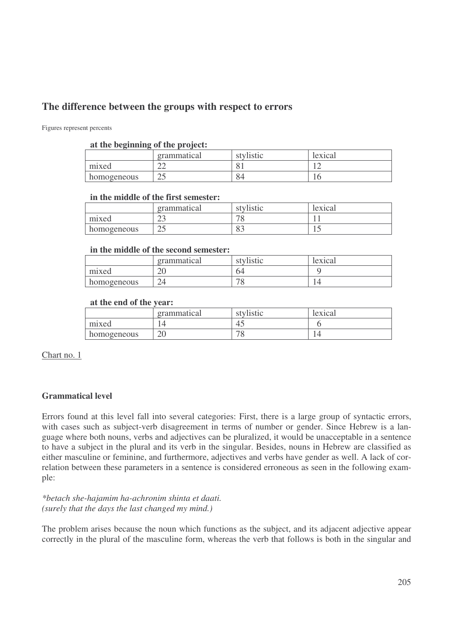# **The difference between the groups with respect to errors**

Figures represent percents

#### **at the beginning of the project:**

|             | grammatical  | stylistic | lexical |
|-------------|--------------|-----------|---------|
| mixed       | $\sim$<br>∠∠ |           | $\sim$  |
| homogeneous | ر_           | 84        |         |

#### **in the middle of the first semester:**

|             | grammatical  | stylistic | lexical |
|-------------|--------------|-----------|---------|
| mixed       | $\sim$<br>ر_ |           |         |
| homogeneous | $\cap$<br>ر_ | ິ         | ⊥ J     |

#### **in the middle of the second semester:**

|             | grammatical  | stylistic                | lexical |
|-------------|--------------|--------------------------|---------|
| mixed       | $\cap$<br>ΖU | 64                       |         |
| homogeneous | $2\pi$       | $\overline{\phantom{0}}$ |         |

#### **at the end of the year:**

|             | grammatical  | stylistic | lexical |
|-------------|--------------|-----------|---------|
| mixed       |              | τω        |         |
| homogeneous | $\cap$<br>∠∪ | U         |         |

Chart no. 1

# **Grammatical level**

Errors found at this level fall into several categories: First, there is a large group of syntactic errors, with cases such as subject-verb disagreement in terms of number or gender. Since Hebrew is a language where both nouns, verbs and adjectives can be pluralized, it would be unacceptable in a sentence to have a subject in the plural and its verb in the singular. Besides, nouns in Hebrew are classified as either masculine or feminine, and furthermore, adjectives and verbs have gender as well. A lack of correlation between these parameters in a sentence is considered erroneous as seen in the following example:

*\*betach she-hajamim ha-achronim shinta et daati. (surely that the days the last changed my mind.)*

The problem arises because the noun which functions as the subject, and its adjacent adjective appear correctly in the plural of the masculine form, whereas the verb that follows is both in the singular and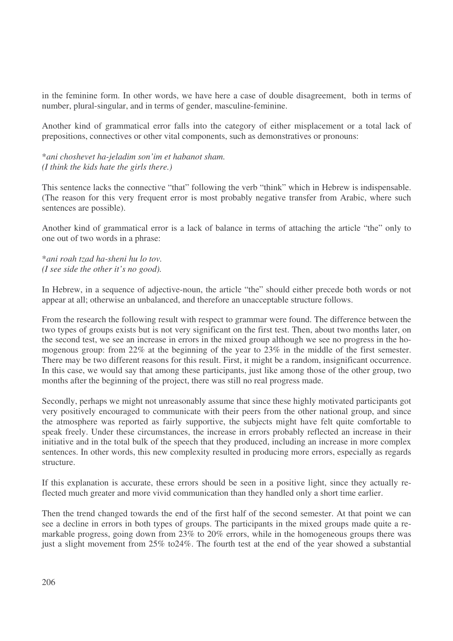in the feminine form. In other words, we have here a case of double disagreement, both in terms of number, plural-singular, and in terms of gender, masculine-feminine.

Another kind of grammatical error falls into the category of either misplacement or a total lack of prepositions, connectives or other vital components, such as demonstratives or pronouns:

\**ani choshevet ha-jeladim son'im et habanot sham. (I think the kids hate the girls there.)*

This sentence lacks the connective "that" following the verb "think" which in Hebrew is indispensable. (The reason for this very frequent error is most probably negative transfer from Arabic, where such sentences are possible).

Another kind of grammatical error is a lack of balance in terms of attaching the article "the" only to one out of two words in a phrase:

\**ani roah tzad ha-sheni hu lo tov. (I see side the other it's no good).*

In Hebrew, in a sequence of adjective-noun, the article "the" should either precede both words or not appear at all; otherwise an unbalanced, and therefore an unacceptable structure follows.

From the research the following result with respect to grammar were found. The difference between the two types of groups exists but is not very significant on the first test. Then, about two months later, on the second test, we see an increase in errors in the mixed group although we see no progress in the homogenous group: from 22% at the beginning of the year to 23% in the middle of the first semester. There may be two different reasons for this result. First, it might be a random, insignificant occurrence. In this case, we would say that among these participants, just like among those of the other group, two months after the beginning of the project, there was still no real progress made.

Secondly, perhaps we might not unreasonably assume that since these highly motivated participants got very positively encouraged to communicate with their peers from the other national group, and since the atmosphere was reported as fairly supportive, the subjects might have felt quite comfortable to speak freely. Under these circumstances, the increase in errors probably reflected an increase in their initiative and in the total bulk of the speech that they produced, including an increase in more complex sentences. In other words, this new complexity resulted in producing more errors, especially as regards structure.

If this explanation is accurate, these errors should be seen in a positive light, since they actually reflected much greater and more vivid communication than they handled only a short time earlier.

Then the trend changed towards the end of the first half of the second semester. At that point we can see a decline in errors in both types of groups. The participants in the mixed groups made quite a remarkable progress, going down from 23% to 20% errors, while in the homogeneous groups there was just a slight movement from 25% to24%. The fourth test at the end of the year showed a substantial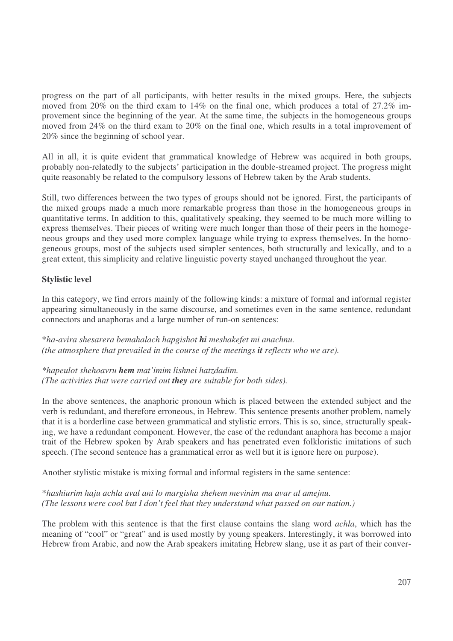progress on the part of all participants, with better results in the mixed groups. Here, the subjects moved from 20% on the third exam to 14% on the final one, which produces a total of 27.2% improvement since the beginning of the year. At the same time, the subjects in the homogeneous groups moved from 24% on the third exam to 20% on the final one, which results in a total improvement of 20% since the beginning of school year.

All in all, it is quite evident that grammatical knowledge of Hebrew was acquired in both groups, probably non-relatedly to the subjects' participation in the double-streamed project. The progress might quite reasonably be related to the compulsory lessons of Hebrew taken by the Arab students.

Still, two differences between the two types of groups should not be ignored. First, the participants of the mixed groups made a much more remarkable progress than those in the homogeneous groups in quantitative terms. In addition to this, qualitatively speaking, they seemed to be much more willing to express themselves. Their pieces of writing were much longer than those of their peers in the homogeneous groups and they used more complex language while trying to express themselves. In the homogeneous groups, most of the subjects used simpler sentences, both structurally and lexically, and to a great extent, this simplicity and relative linguistic poverty stayed unchanged throughout the year.

# **Stylistic level**

In this category, we find errors mainly of the following kinds: a mixture of formal and informal register appearing simultaneously in the same discourse, and sometimes even in the same sentence, redundant connectors and anaphoras and a large number of run-on sentences:

\**ha-avira shesarera bemahalach hapgishot hi meshakefet mi anachnu. (the atmosphere that prevailed in the course of the meetings it reflects who we are).*

*\*hapeulot shehoavru hem mat'imim lishnei hatzdadim. (The activities that were carried out they are suitable for both sides).*

In the above sentences, the anaphoric pronoun which is placed between the extended subject and the verb is redundant, and therefore erroneous, in Hebrew. This sentence presents another problem, namely that it is a borderline case between grammatical and stylistic errors. This is so, since, structurally speaking, we have a redundant component. However, the case of the redundant anaphora has become a major trait of the Hebrew spoken by Arab speakers and has penetrated even folkloristic imitations of such speech. (The second sentence has a grammatical error as well but it is ignore here on purpose).

Another stylistic mistake is mixing formal and informal registers in the same sentence:

\**hashiurim haju achla aval ani lo margisha shehem mevinim ma avar al amejnu. (The lessons were cool but I don't feel that they understand what passed on our nation.)*

The problem with this sentence is that the first clause contains the slang word *achla*, which has the meaning of "cool" or "great" and is used mostly by young speakers. Interestingly, it was borrowed into Hebrew from Arabic, and now the Arab speakers imitating Hebrew slang, use it as part of their conver-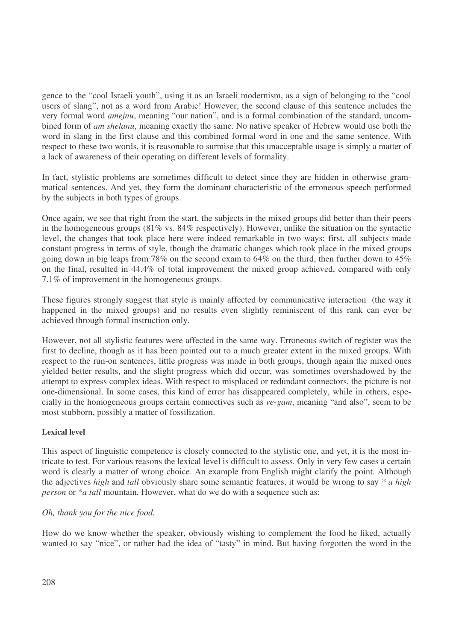gence to the "cool Israeli youth", using it as an Israeli modernism, as a sign of belonging to the "cool users of slang", not as a word from Arabic! However, the second clause of this sentence includes the very formal word *amejnu*, meaning "our nation", and is a formal combination of the standard, uncombined form of *am shelanu*, meaning exactly the same. No native speaker of Hebrew would use both the word in slang in the first clause and this combined formal word in one and the same sentence. With respect to these two words, it is reasonable to surmise that this unacceptable usage is simply a matter of a lack of awareness of their operating on different levels of formality.

In fact, stylistic problems are sometimes difficult to detect since they are hidden in otherwise grammatical sentences. And yet, they form the dominant characteristic of the erroneous speech performed by the subjects in both types of groups.

Once again, we see that right from the start, the subjects in the mixed groups did better than their peers in the homogeneous groups (81% vs. 84% respectively). However, unlike the situation on the syntactic level, the changes that took place here were indeed remarkable in two ways: first, all subjects made constant progress in terms of style, though the dramatic changes which took place in the mixed groups going down in big leaps from 78% on the second exam to 64% on the third, then further down to 45% on the final, resulted in 44.4% of total improvement the mixed group achieved, compared with only 7.1% of improvement in the homogeneous groups.

These figures strongly suggest that style is mainly affected by communicative interaction (the way it happened in the mixed groups) and no results even slightly reminiscent of this rank can ever be achieved through formal instruction only.

However, not all stylistic features were affected in the same way. Erroneous switch of register was the first to decline, though as it has been pointed out to a much greater extent in the mixed groups. With respect to the run-on sentences, little progress was made in both groups, though again the mixed ones yielded better results, and the slight progress which did occur, was sometimes overshadowed by the attempt to express complex ideas. With respect to misplaced or redundant connectors, the picture is not one-dimensional. In some cases, this kind of error has disappeared completely, while in others, especially in the homogeneous groups certain connectives such as *ve-gam*, meaning "and also", seem to be most stubborn, possibly a matter of fossilization.

#### **Lexical level**

This aspect of linguistic competence is closely connected to the stylistic one, and yet, it is the most intricate to test. For various reasons the lexical level is difficult to assess. Only in very few cases a certain word is clearly a matter of wrong choice. An example from English might clarify the point. Although the adjectives *high* and *tall* obviously share some semantic features, it would be wrong to say *\* a high person* or \**a tall* mountain*.* However, what do we do with a sequence such as:

#### *Oh, thank you for the nice food.*

How do we know whether the speaker, obviously wishing to complement the food he liked, actually wanted to say "nice", or rather had the idea of "tasty" in mind. But having forgotten the word in the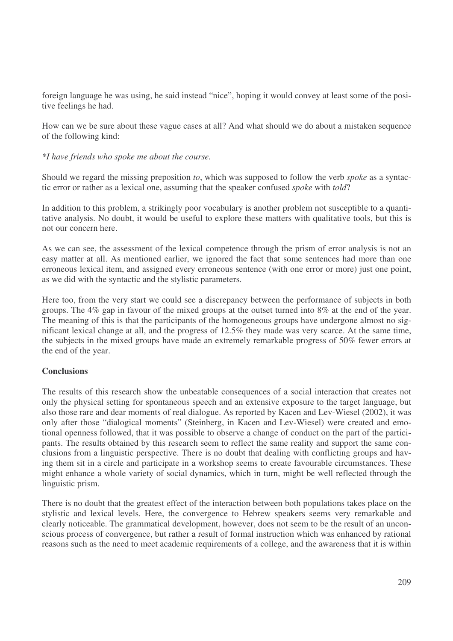foreign language he was using, he said instead "nice", hoping it would convey at least some of the positive feelings he had.

How can we be sure about these vague cases at all? And what should we do about a mistaken sequence of the following kind:

#### *\*I have friends who spoke me about the course.*

Should we regard the missing preposition *to*, which was supposed to follow the verb *spoke* as a syntactic error or rather as a lexical one, assuming that the speaker confused *spoke* with *told*?

In addition to this problem, a strikingly poor vocabulary is another problem not susceptible to a quantitative analysis. No doubt, it would be useful to explore these matters with qualitative tools, but this is not our concern here.

As we can see, the assessment of the lexical competence through the prism of error analysis is not an easy matter at all. As mentioned earlier, we ignored the fact that some sentences had more than one erroneous lexical item, and assigned every erroneous sentence (with one error or more) just one point, as we did with the syntactic and the stylistic parameters.

Here too, from the very start we could see a discrepancy between the performance of subjects in both groups. The 4% gap in favour of the mixed groups at the outset turned into 8% at the end of the year. The meaning of this is that the participants of the homogeneous groups have undergone almost no significant lexical change at all, and the progress of 12.5% they made was very scarce. At the same time, the subjects in the mixed groups have made an extremely remarkable progress of 50% fewer errors at the end of the year.

#### **Conclusions**

The results of this research show the unbeatable consequences of a social interaction that creates not only the physical setting for spontaneous speech and an extensive exposure to the target language, but also those rare and dear moments of real dialogue. As reported by Kacen and Lev-Wiesel (2002), it was only after those "dialogical moments" (Steinberg, in Kacen and Lev-Wiesel) were created and emotional openness followed, that it was possible to observe a change of conduct on the part of the participants. The results obtained by this research seem to reflect the same reality and support the same conclusions from a linguistic perspective. There is no doubt that dealing with conflicting groups and having them sit in a circle and participate in a workshop seems to create favourable circumstances. These might enhance a whole variety of social dynamics, which in turn, might be well reflected through the linguistic prism.

There is no doubt that the greatest effect of the interaction between both populations takes place on the stylistic and lexical levels. Here, the convergence to Hebrew speakers seems very remarkable and clearly noticeable. The grammatical development, however, does not seem to be the result of an unconscious process of convergence, but rather a result of formal instruction which was enhanced by rational reasons such as the need to meet academic requirements of a college, and the awareness that it is within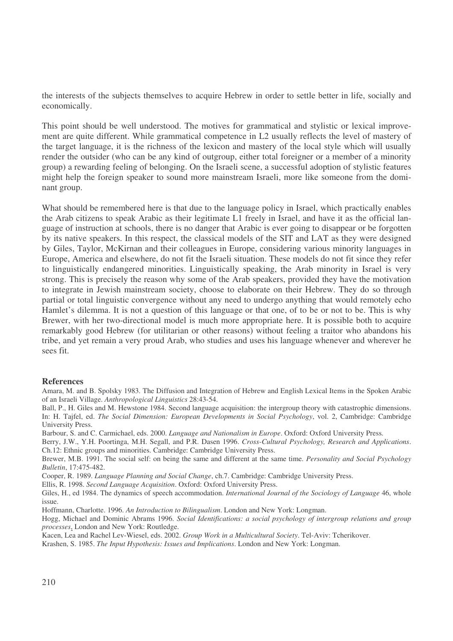the interests of the subjects themselves to acquire Hebrew in order to settle better in life, socially and economically.

This point should be well understood. The motives for grammatical and stylistic or lexical improvement are quite different. While grammatical competence in L2 usually reflects the level of mastery of the target language, it is the richness of the lexicon and mastery of the local style which will usually render the outsider (who can be any kind of outgroup, either total foreigner or a member of a minority group) a rewarding feeling of belonging. On the Israeli scene, a successful adoption of stylistic features might help the foreign speaker to sound more mainstream Israeli, more like someone from the dominant group.

What should be remembered here is that due to the language policy in Israel, which practically enables the Arab citizens to speak Arabic as their legitimate L1 freely in Israel, and have it as the official language of instruction at schools, there is no danger that Arabic is ever going to disappear or be forgotten by its native speakers. In this respect, the classical models of the SIT and LAT as they were designed by Giles, Taylor, McKirnan and their colleagues in Europe, considering various minority languages in Europe, America and elsewhere, do not fit the Israeli situation. These models do not fit since they refer to linguistically endangered minorities. Linguistically speaking, the Arab minority in Israel is very strong. This is precisely the reason why some of the Arab speakers, provided they have the motivation to integrate in Jewish mainstream society, choose to elaborate on their Hebrew. They do so through partial or total linguistic convergence without any need to undergo anything that would remotely echo Hamlet's dilemma. It is not a question of this language or that one, of to be or not to be. This is why Brewer, with her two-directional model is much more appropriate here. It is possible both to acquire remarkably good Hebrew (for utilitarian or other reasons) without feeling a traitor who abandons his tribe, and yet remain a very proud Arab, who studies and uses his language whenever and wherever he sees fit.

#### **References**

Amara, M. and B. Spolsky 1983. The Diffusion and Integration of Hebrew and English Lexical Items in the Spoken Arabic of an Israeli Village. *Anthropological Linguistics* 28:43-54.

Ball, P., H. Giles and M. Hewstone 1984. Second language acquisition: the intergroup theory with catastrophic dimensions. In: H. Tajfel, ed. *The Social Dimension: European Developments in Social Psychology*, vol. 2, Cambridge: Cambridge University Press.

Barbour, S. and C. Carmichael, eds. 2000. *Language and Nationalism in Europe*. Oxford: Oxford University Press.

Berry, J.W., Y.H. Poortinga, M.H. Segall, and P.R. Dasen 1996. *Cross-Cultural Psychology, Research and Applications*. Ch.12: Ethnic groups and minorities. Cambridge: Cambridge University Press.

Brewer, M.B. 1991. The social self: on being the same and different at the same time. *Personality and Social Psychology Bulletin*, 17:475-482.

Cooper, R. 1989. *Language Planning and Social Change*, ch.7. Cambridge: Cambridge University Press.

Ellis, R. 1998. *Second Language Acquisition*. Oxford: Oxford University Press.

Giles, H., ed 1984. The dynamics of speech accommodation. *International Journal of the Sociology of Language* 46, whole issue.

Hoffmann, Charlotte. 1996. *An Introduction to Bilingualism*. London and New York: Longman.

Hogg, Michael and Dominic Abrams 1996. *Social Identifications: a social psychology of intergroup relations and group processes*, London and New York: Routledge.

Kacen, Lea and Rachel Lev-Wiesel, eds. 2002. *Group Work in a Multicultural Society*. Tel-Aviv: Tcherikover.

Krashen, S. 1985. *The Input Hypothesis: Issues and Implications*. London and New York: Longman.